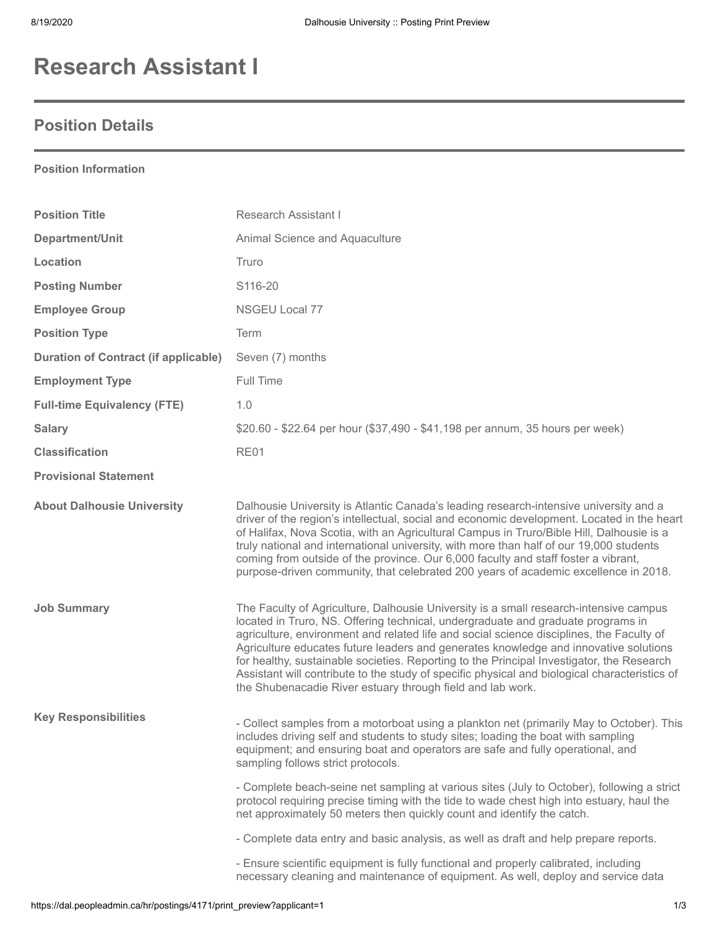# **Research Assistant I**

## **Position Details**

#### **Position Information**

| <b>Position Title</b>                       | Research Assistant I                                                                                                                                                                                                                                                                                                                                                                                                                                                                                                                                                                                                      |
|---------------------------------------------|---------------------------------------------------------------------------------------------------------------------------------------------------------------------------------------------------------------------------------------------------------------------------------------------------------------------------------------------------------------------------------------------------------------------------------------------------------------------------------------------------------------------------------------------------------------------------------------------------------------------------|
| Department/Unit                             | Animal Science and Aquaculture                                                                                                                                                                                                                                                                                                                                                                                                                                                                                                                                                                                            |
| Location                                    | Truro                                                                                                                                                                                                                                                                                                                                                                                                                                                                                                                                                                                                                     |
| <b>Posting Number</b>                       | S116-20                                                                                                                                                                                                                                                                                                                                                                                                                                                                                                                                                                                                                   |
| <b>Employee Group</b>                       | <b>NSGEU Local 77</b>                                                                                                                                                                                                                                                                                                                                                                                                                                                                                                                                                                                                     |
| <b>Position Type</b>                        | Term                                                                                                                                                                                                                                                                                                                                                                                                                                                                                                                                                                                                                      |
| <b>Duration of Contract (if applicable)</b> | Seven (7) months                                                                                                                                                                                                                                                                                                                                                                                                                                                                                                                                                                                                          |
| <b>Employment Type</b>                      | Full Time                                                                                                                                                                                                                                                                                                                                                                                                                                                                                                                                                                                                                 |
| <b>Full-time Equivalency (FTE)</b>          | 1.0                                                                                                                                                                                                                                                                                                                                                                                                                                                                                                                                                                                                                       |
| <b>Salary</b>                               | \$20.60 - \$22.64 per hour (\$37,490 - \$41,198 per annum, 35 hours per week)                                                                                                                                                                                                                                                                                                                                                                                                                                                                                                                                             |
| <b>Classification</b>                       | RE01                                                                                                                                                                                                                                                                                                                                                                                                                                                                                                                                                                                                                      |
| <b>Provisional Statement</b>                |                                                                                                                                                                                                                                                                                                                                                                                                                                                                                                                                                                                                                           |
| <b>About Dalhousie University</b>           | Dalhousie University is Atlantic Canada's leading research-intensive university and a<br>driver of the region's intellectual, social and economic development. Located in the heart<br>of Halifax, Nova Scotia, with an Agricultural Campus in Truro/Bible Hill, Dalhousie is a<br>truly national and international university, with more than half of our 19,000 students<br>coming from outside of the province. Our 6,000 faculty and staff foster a vibrant,<br>purpose-driven community, that celebrated 200 years of academic excellence in 2018.                                                                   |
| <b>Job Summary</b>                          | The Faculty of Agriculture, Dalhousie University is a small research-intensive campus<br>located in Truro, NS. Offering technical, undergraduate and graduate programs in<br>agriculture, environment and related life and social science disciplines, the Faculty of<br>Agriculture educates future leaders and generates knowledge and innovative solutions<br>for healthy, sustainable societies. Reporting to the Principal Investigator, the Research<br>Assistant will contribute to the study of specific physical and biological characteristics of<br>the Shubenacadie River estuary through field and lab work. |
| <b>Key Responsibilities</b>                 | - Collect samples from a motorboat using a plankton net (primarily May to October). This<br>includes driving self and students to study sites; loading the boat with sampling<br>equipment; and ensuring boat and operators are safe and fully operational, and<br>sampling follows strict protocols.                                                                                                                                                                                                                                                                                                                     |
|                                             | - Complete beach-seine net sampling at various sites (July to October), following a strict<br>protocol requiring precise timing with the tide to wade chest high into estuary, haul the<br>net approximately 50 meters then quickly count and identify the catch.                                                                                                                                                                                                                                                                                                                                                         |
|                                             | - Complete data entry and basic analysis, as well as draft and help prepare reports.                                                                                                                                                                                                                                                                                                                                                                                                                                                                                                                                      |
|                                             | - Ensure scientific equipment is fully functional and properly calibrated, including<br>necessary cleaning and maintenance of equipment. As well, deploy and service data                                                                                                                                                                                                                                                                                                                                                                                                                                                 |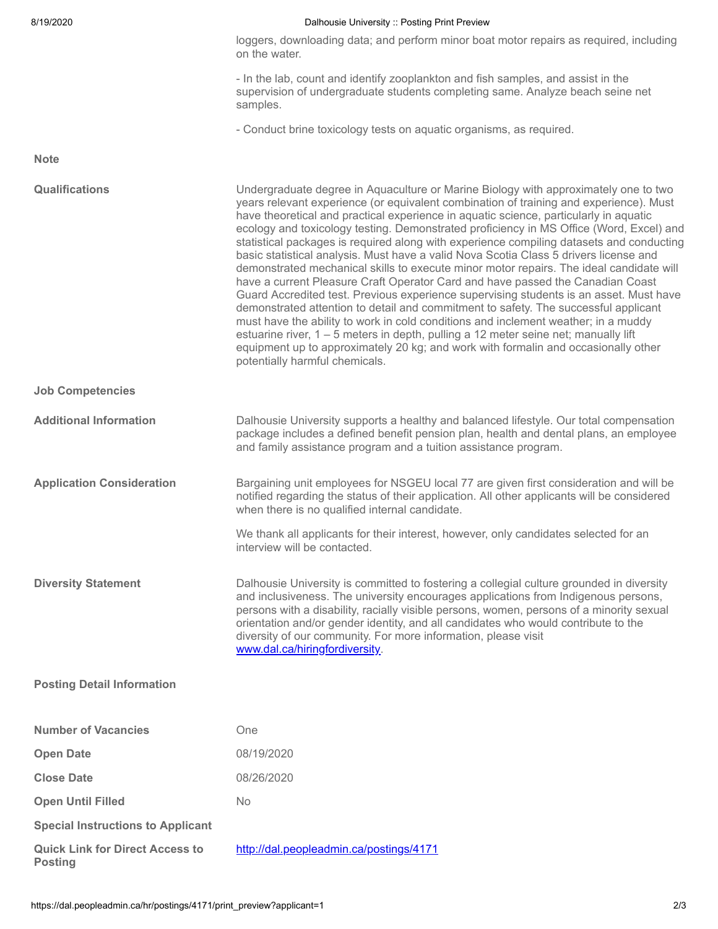| 8/19/2020                                                | Dalhousie University :: Posting Print Preview                                                                                                                                                                                                                                                                                                                                                                                                                                                                                                                                                                                                                                                                                                                                                                                                                                                                                                                                                                                                                                                                                                                                                                             |
|----------------------------------------------------------|---------------------------------------------------------------------------------------------------------------------------------------------------------------------------------------------------------------------------------------------------------------------------------------------------------------------------------------------------------------------------------------------------------------------------------------------------------------------------------------------------------------------------------------------------------------------------------------------------------------------------------------------------------------------------------------------------------------------------------------------------------------------------------------------------------------------------------------------------------------------------------------------------------------------------------------------------------------------------------------------------------------------------------------------------------------------------------------------------------------------------------------------------------------------------------------------------------------------------|
|                                                          | loggers, downloading data; and perform minor boat motor repairs as required, including<br>on the water.                                                                                                                                                                                                                                                                                                                                                                                                                                                                                                                                                                                                                                                                                                                                                                                                                                                                                                                                                                                                                                                                                                                   |
|                                                          | - In the lab, count and identify zooplankton and fish samples, and assist in the<br>supervision of undergraduate students completing same. Analyze beach seine net<br>samples.                                                                                                                                                                                                                                                                                                                                                                                                                                                                                                                                                                                                                                                                                                                                                                                                                                                                                                                                                                                                                                            |
|                                                          | - Conduct brine toxicology tests on aquatic organisms, as required.                                                                                                                                                                                                                                                                                                                                                                                                                                                                                                                                                                                                                                                                                                                                                                                                                                                                                                                                                                                                                                                                                                                                                       |
| <b>Note</b>                                              |                                                                                                                                                                                                                                                                                                                                                                                                                                                                                                                                                                                                                                                                                                                                                                                                                                                                                                                                                                                                                                                                                                                                                                                                                           |
| <b>Qualifications</b>                                    | Undergraduate degree in Aquaculture or Marine Biology with approximately one to two<br>years relevant experience (or equivalent combination of training and experience). Must<br>have theoretical and practical experience in aquatic science, particularly in aquatic<br>ecology and toxicology testing. Demonstrated proficiency in MS Office (Word, Excel) and<br>statistical packages is required along with experience compiling datasets and conducting<br>basic statistical analysis. Must have a valid Nova Scotia Class 5 drivers license and<br>demonstrated mechanical skills to execute minor motor repairs. The ideal candidate will<br>have a current Pleasure Craft Operator Card and have passed the Canadian Coast<br>Guard Accredited test. Previous experience supervising students is an asset. Must have<br>demonstrated attention to detail and commitment to safety. The successful applicant<br>must have the ability to work in cold conditions and inclement weather; in a muddy<br>estuarine river, 1 - 5 meters in depth, pulling a 12 meter seine net; manually lift<br>equipment up to approximately 20 kg; and work with formalin and occasionally other<br>potentially harmful chemicals. |
| <b>Job Competencies</b>                                  |                                                                                                                                                                                                                                                                                                                                                                                                                                                                                                                                                                                                                                                                                                                                                                                                                                                                                                                                                                                                                                                                                                                                                                                                                           |
| <b>Additional Information</b>                            | Dalhousie University supports a healthy and balanced lifestyle. Our total compensation<br>package includes a defined benefit pension plan, health and dental plans, an employee<br>and family assistance program and a tuition assistance program.                                                                                                                                                                                                                                                                                                                                                                                                                                                                                                                                                                                                                                                                                                                                                                                                                                                                                                                                                                        |
| <b>Application Consideration</b>                         | Bargaining unit employees for NSGEU local 77 are given first consideration and will be<br>notified regarding the status of their application. All other applicants will be considered<br>when there is no qualified internal candidate.                                                                                                                                                                                                                                                                                                                                                                                                                                                                                                                                                                                                                                                                                                                                                                                                                                                                                                                                                                                   |
|                                                          | We thank all applicants for their interest, however, only candidates selected for an<br>interview will be contacted.                                                                                                                                                                                                                                                                                                                                                                                                                                                                                                                                                                                                                                                                                                                                                                                                                                                                                                                                                                                                                                                                                                      |
| <b>Diversity Statement</b>                               | Dalhousie University is committed to fostering a collegial culture grounded in diversity<br>and inclusiveness. The university encourages applications from Indigenous persons,<br>persons with a disability, racially visible persons, women, persons of a minority sexual<br>orientation and/or gender identity, and all candidates who would contribute to the<br>diversity of our community. For more information, please visit<br>www.dal.ca/hiringfordiversity.                                                                                                                                                                                                                                                                                                                                                                                                                                                                                                                                                                                                                                                                                                                                                      |
| <b>Posting Detail Information</b>                        |                                                                                                                                                                                                                                                                                                                                                                                                                                                                                                                                                                                                                                                                                                                                                                                                                                                                                                                                                                                                                                                                                                                                                                                                                           |
| <b>Number of Vacancies</b>                               | One                                                                                                                                                                                                                                                                                                                                                                                                                                                                                                                                                                                                                                                                                                                                                                                                                                                                                                                                                                                                                                                                                                                                                                                                                       |
| <b>Open Date</b>                                         | 08/19/2020                                                                                                                                                                                                                                                                                                                                                                                                                                                                                                                                                                                                                                                                                                                                                                                                                                                                                                                                                                                                                                                                                                                                                                                                                |
| <b>Close Date</b>                                        | 08/26/2020                                                                                                                                                                                                                                                                                                                                                                                                                                                                                                                                                                                                                                                                                                                                                                                                                                                                                                                                                                                                                                                                                                                                                                                                                |
| <b>Open Until Filled</b>                                 | <b>No</b>                                                                                                                                                                                                                                                                                                                                                                                                                                                                                                                                                                                                                                                                                                                                                                                                                                                                                                                                                                                                                                                                                                                                                                                                                 |
| <b>Special Instructions to Applicant</b>                 |                                                                                                                                                                                                                                                                                                                                                                                                                                                                                                                                                                                                                                                                                                                                                                                                                                                                                                                                                                                                                                                                                                                                                                                                                           |
| <b>Quick Link for Direct Access to</b><br><b>Posting</b> | http://dal.peopleadmin.ca/postings/4171                                                                                                                                                                                                                                                                                                                                                                                                                                                                                                                                                                                                                                                                                                                                                                                                                                                                                                                                                                                                                                                                                                                                                                                   |